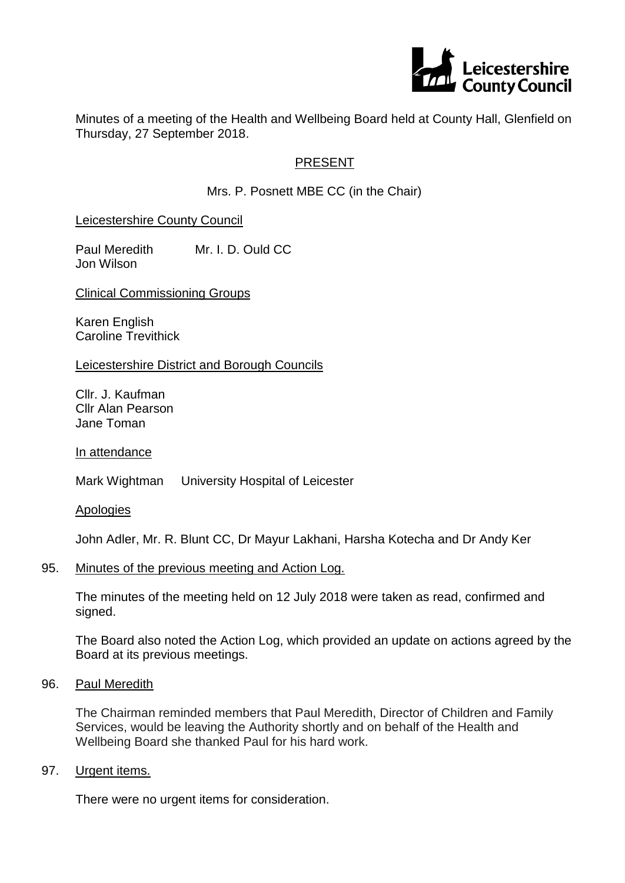

Minutes of a meeting of the Health and Wellbeing Board held at County Hall, Glenfield on Thursday, 27 September 2018.

## PRESENT

Mrs. P. Posnett MBE CC (in the Chair)

### Leicestershire County Council

Paul Meredith Mr. I. D. Ould CC Jon Wilson

Clinical Commissioning Groups

Karen English Caroline Trevithick

#### Leicestershire District and Borough Councils

Cllr. J. Kaufman Cllr Alan Pearson Jane Toman

In attendance

Mark Wightman University Hospital of Leicester

Apologies

John Adler, Mr. R. Blunt CC, Dr Mayur Lakhani, Harsha Kotecha and Dr Andy Ker

#### 95. Minutes of the previous meeting and Action Log.

The minutes of the meeting held on 12 July 2018 were taken as read, confirmed and signed.

The Board also noted the Action Log, which provided an update on actions agreed by the Board at its previous meetings.

### 96. Paul Meredith

The Chairman reminded members that Paul Meredith, Director of Children and Family Services, would be leaving the Authority shortly and on behalf of the Health and Wellbeing Board she thanked Paul for his hard work.

### 97. Urgent items.

There were no urgent items for consideration.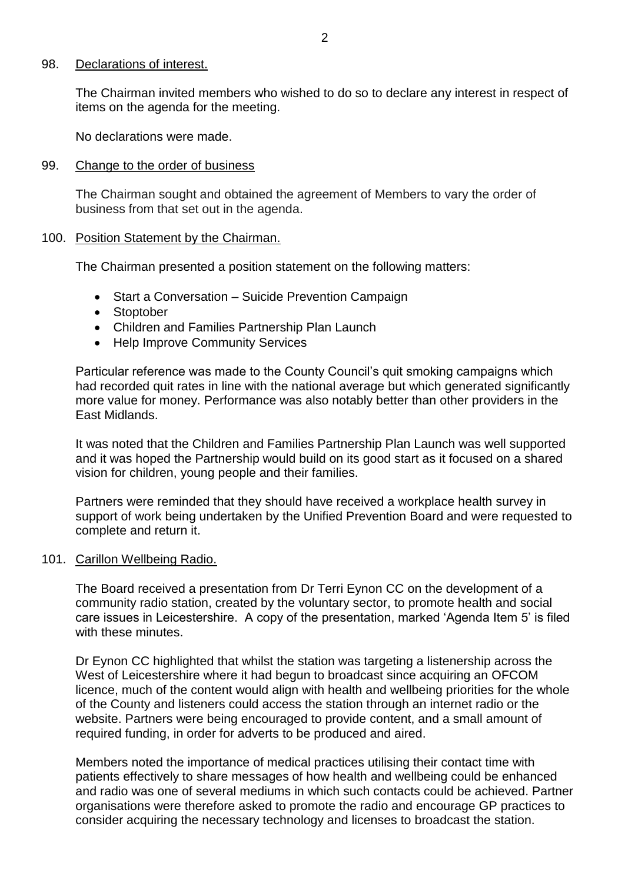#### 98. Declarations of interest.

The Chairman invited members who wished to do so to declare any interest in respect of items on the agenda for the meeting.

No declarations were made.

#### 99. Change to the order of business

The Chairman sought and obtained the agreement of Members to vary the order of business from that set out in the agenda.

### 100. Position Statement by the Chairman.

The Chairman presented a position statement on the following matters:

- Start a Conversation Suicide Prevention Campaign
- Stoptober
- Children and Families Partnership Plan Launch
- Help Improve Community Services

Particular reference was made to the County Council's quit smoking campaigns which had recorded quit rates in line with the national average but which generated significantly more value for money. Performance was also notably better than other providers in the East Midlands.

It was noted that the Children and Families Partnership Plan Launch was well supported and it was hoped the Partnership would build on its good start as it focused on a shared vision for children, young people and their families.

Partners were reminded that they should have received a workplace health survey in support of work being undertaken by the Unified Prevention Board and were requested to complete and return it.

## 101. Carillon Wellbeing Radio.

The Board received a presentation from Dr Terri Eynon CC on the development of a community radio station, created by the voluntary sector, to promote health and social care issues in Leicestershire. A copy of the presentation, marked 'Agenda Item 5' is filed with these minutes.

Dr Eynon CC highlighted that whilst the station was targeting a listenership across the West of Leicestershire where it had begun to broadcast since acquiring an OFCOM licence, much of the content would align with health and wellbeing priorities for the whole of the County and listeners could access the station through an internet radio or the website. Partners were being encouraged to provide content, and a small amount of required funding, in order for adverts to be produced and aired.

Members noted the importance of medical practices utilising their contact time with patients effectively to share messages of how health and wellbeing could be enhanced and radio was one of several mediums in which such contacts could be achieved. Partner organisations were therefore asked to promote the radio and encourage GP practices to consider acquiring the necessary technology and licenses to broadcast the station.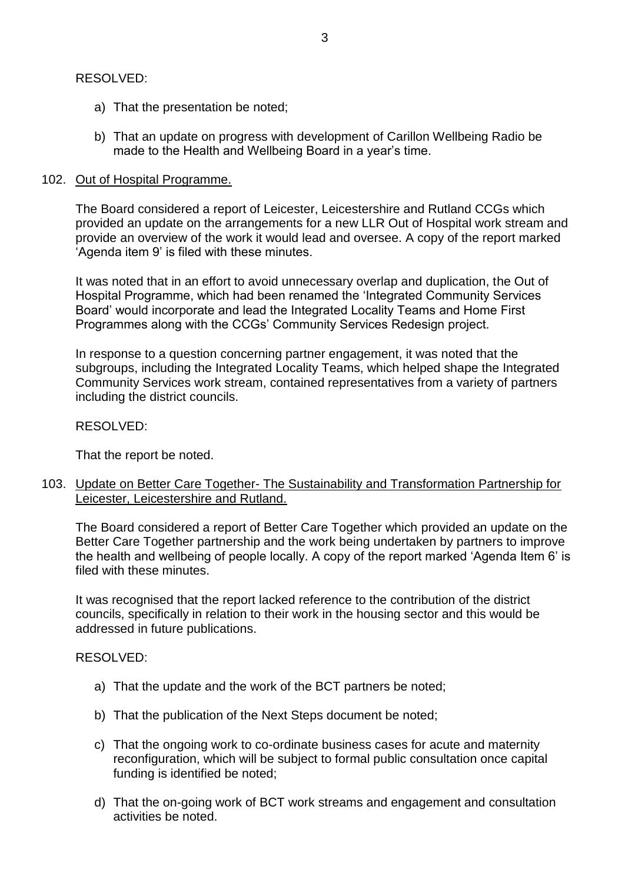## RESOLVED:

- a) That the presentation be noted;
- b) That an update on progress with development of Carillon Wellbeing Radio be made to the Health and Wellbeing Board in a year's time.

### 102. Out of Hospital Programme.

The Board considered a report of Leicester, Leicestershire and Rutland CCGs which provided an update on the arrangements for a new LLR Out of Hospital work stream and provide an overview of the work it would lead and oversee. A copy of the report marked 'Agenda item 9' is filed with these minutes.

It was noted that in an effort to avoid unnecessary overlap and duplication, the Out of Hospital Programme, which had been renamed the 'Integrated Community Services Board' would incorporate and lead the Integrated Locality Teams and Home First Programmes along with the CCGs' Community Services Redesign project.

In response to a question concerning partner engagement, it was noted that the subgroups, including the Integrated Locality Teams, which helped shape the Integrated Community Services work stream, contained representatives from a variety of partners including the district councils.

### RESOLVED:

That the report be noted.

103. Update on Better Care Together- The Sustainability and Transformation Partnership for Leicester, Leicestershire and Rutland.

The Board considered a report of Better Care Together which provided an update on the Better Care Together partnership and the work being undertaken by partners to improve the health and wellbeing of people locally. A copy of the report marked 'Agenda Item 6' is filed with these minutes.

It was recognised that the report lacked reference to the contribution of the district councils, specifically in relation to their work in the housing sector and this would be addressed in future publications.

#### RESOLVED:

- a) That the update and the work of the BCT partners be noted;
- b) That the publication of the Next Steps document be noted;
- c) That the ongoing work to co-ordinate business cases for acute and maternity reconfiguration, which will be subject to formal public consultation once capital funding is identified be noted;
- d) That the on-going work of BCT work streams and engagement and consultation activities be noted.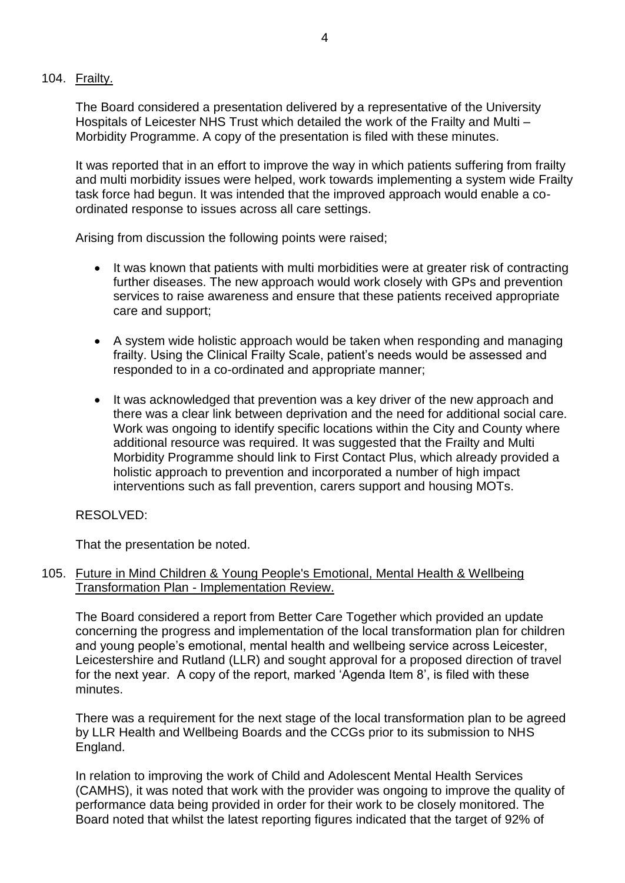# 104. Frailty.

The Board considered a presentation delivered by a representative of the University Hospitals of Leicester NHS Trust which detailed the work of the Frailty and Multi – Morbidity Programme. A copy of the presentation is filed with these minutes.

It was reported that in an effort to improve the way in which patients suffering from frailty and multi morbidity issues were helped, work towards implementing a system wide Frailty task force had begun. It was intended that the improved approach would enable a coordinated response to issues across all care settings.

Arising from discussion the following points were raised;

- It was known that patients with multi morbidities were at greater risk of contracting further diseases. The new approach would work closely with GPs and prevention services to raise awareness and ensure that these patients received appropriate care and support;
- A system wide holistic approach would be taken when responding and managing frailty. Using the Clinical Frailty Scale, patient's needs would be assessed and responded to in a co-ordinated and appropriate manner;
- It was acknowledged that prevention was a key driver of the new approach and there was a clear link between deprivation and the need for additional social care. Work was ongoing to identify specific locations within the City and County where additional resource was required. It was suggested that the Frailty and Multi Morbidity Programme should link to First Contact Plus, which already provided a holistic approach to prevention and incorporated a number of high impact interventions such as fall prevention, carers support and housing MOTs.

## RESOLVED:

That the presentation be noted.

### 105. Future in Mind Children & Young People's Emotional, Mental Health & Wellbeing Transformation Plan - Implementation Review.

The Board considered a report from Better Care Together which provided an update concerning the progress and implementation of the local transformation plan for children and young people's emotional, mental health and wellbeing service across Leicester, Leicestershire and Rutland (LLR) and sought approval for a proposed direction of travel for the next year. A copy of the report, marked 'Agenda Item 8', is filed with these minutes.

There was a requirement for the next stage of the local transformation plan to be agreed by LLR Health and Wellbeing Boards and the CCGs prior to its submission to NHS England.

In relation to improving the work of Child and Adolescent Mental Health Services (CAMHS), it was noted that work with the provider was ongoing to improve the quality of performance data being provided in order for their work to be closely monitored. The Board noted that whilst the latest reporting figures indicated that the target of 92% of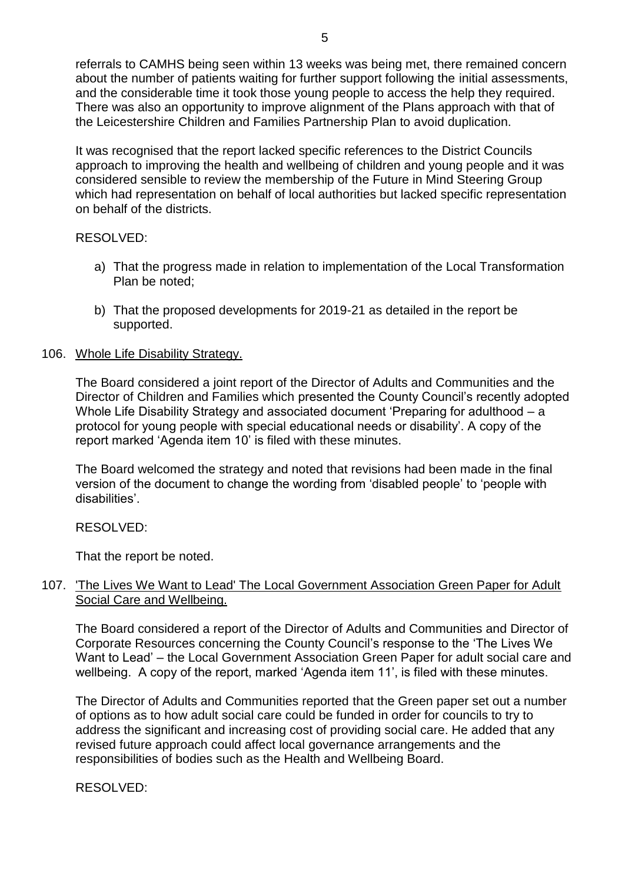referrals to CAMHS being seen within 13 weeks was being met, there remained concern about the number of patients waiting for further support following the initial assessments, and the considerable time it took those young people to access the help they required. There was also an opportunity to improve alignment of the Plans approach with that of the Leicestershire Children and Families Partnership Plan to avoid duplication.

It was recognised that the report lacked specific references to the District Councils approach to improving the health and wellbeing of children and young people and it was considered sensible to review the membership of the Future in Mind Steering Group which had representation on behalf of local authorities but lacked specific representation on behalf of the districts.

# RESOLVED:

- a) That the progress made in relation to implementation of the Local Transformation Plan be noted;
- b) That the proposed developments for 2019-21 as detailed in the report be supported.

# 106. Whole Life Disability Strategy.

The Board considered a joint report of the Director of Adults and Communities and the Director of Children and Families which presented the County Council's recently adopted Whole Life Disability Strategy and associated document 'Preparing for adulthood – a protocol for young people with special educational needs or disability'. A copy of the report marked 'Agenda item 10' is filed with these minutes.

The Board welcomed the strategy and noted that revisions had been made in the final version of the document to change the wording from 'disabled people' to 'people with disabilities'.

RESOLVED:

That the report be noted.

# 107. 'The Lives We Want to Lead' The Local Government Association Green Paper for Adult Social Care and Wellbeing.

The Board considered a report of the Director of Adults and Communities and Director of Corporate Resources concerning the County Council's response to the 'The Lives We Want to Lead' – the Local Government Association Green Paper for adult social care and wellbeing. A copy of the report, marked 'Agenda item 11', is filed with these minutes.

The Director of Adults and Communities reported that the Green paper set out a number of options as to how adult social care could be funded in order for councils to try to address the significant and increasing cost of providing social care. He added that any revised future approach could affect local governance arrangements and the responsibilities of bodies such as the Health and Wellbeing Board.

RESOLVED: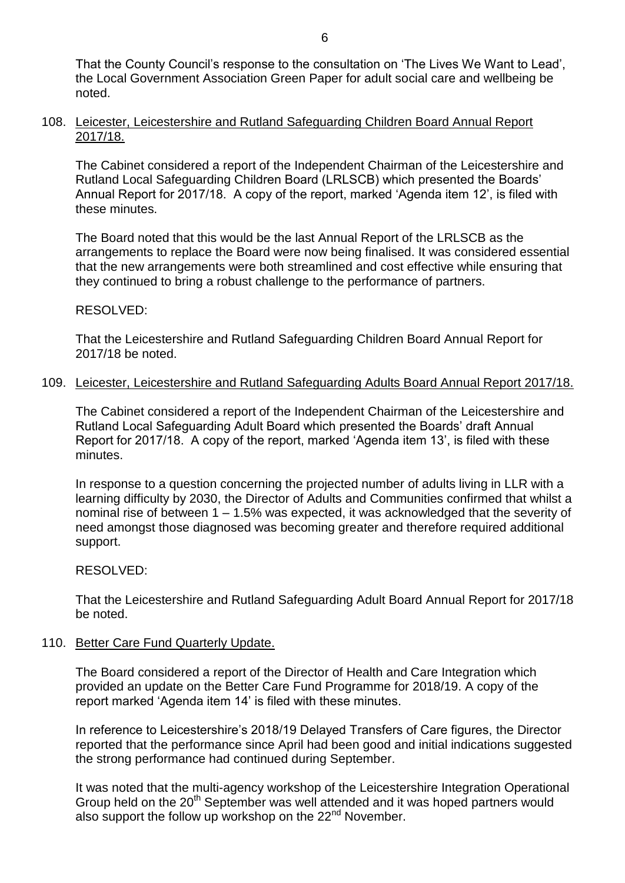## 108. Leicester, Leicestershire and Rutland Safeguarding Children Board Annual Report 2017/18.

The Cabinet considered a report of the Independent Chairman of the Leicestershire and Rutland Local Safeguarding Children Board (LRLSCB) which presented the Boards' Annual Report for 2017/18. A copy of the report, marked 'Agenda item 12', is filed with these minutes.

The Board noted that this would be the last Annual Report of the LRLSCB as the arrangements to replace the Board were now being finalised. It was considered essential that the new arrangements were both streamlined and cost effective while ensuring that they continued to bring a robust challenge to the performance of partners.

# RESOLVED:

That the Leicestershire and Rutland Safeguarding Children Board Annual Report for 2017/18 be noted.

## 109. Leicester, Leicestershire and Rutland Safeguarding Adults Board Annual Report 2017/18.

The Cabinet considered a report of the Independent Chairman of the Leicestershire and Rutland Local Safeguarding Adult Board which presented the Boards' draft Annual Report for 2017/18. A copy of the report, marked 'Agenda item 13', is filed with these minutes.

In response to a question concerning the projected number of adults living in LLR with a learning difficulty by 2030, the Director of Adults and Communities confirmed that whilst a nominal rise of between 1 – 1.5% was expected, it was acknowledged that the severity of need amongst those diagnosed was becoming greater and therefore required additional support.

# RESOLVED:

That the Leicestershire and Rutland Safeguarding Adult Board Annual Report for 2017/18 be noted.

# 110. Better Care Fund Quarterly Update.

The Board considered a report of the Director of Health and Care Integration which provided an update on the Better Care Fund Programme for 2018/19. A copy of the report marked 'Agenda item 14' is filed with these minutes.

In reference to Leicestershire's 2018/19 Delayed Transfers of Care figures, the Director reported that the performance since April had been good and initial indications suggested the strong performance had continued during September.

It was noted that the multi-agency workshop of the Leicestershire Integration Operational Group held on the 20<sup>th</sup> September was well attended and it was hoped partners would also support the follow up workshop on the 22<sup>nd</sup> November.